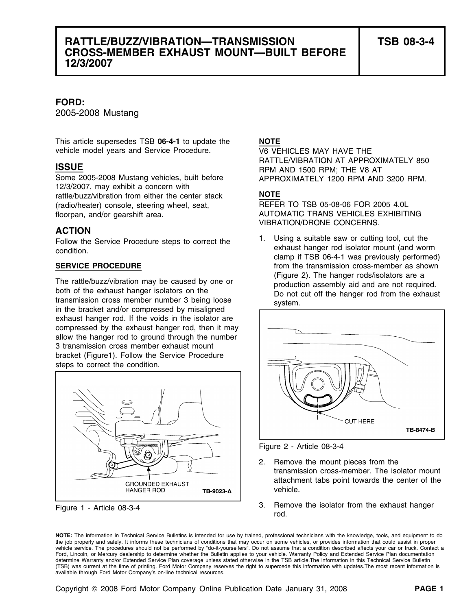# **RATTLE/BUZZ/VIBRATION—TRANSMISSION TSB 08-3-4 CROSS-MEMBER EXHAUST MOUNT—BUILT BEFORE 12/3/2007**

### **FORD:**

2005-2008 Mustang

This article supersedes TSB **06-4-1** to update the **NOTE** vehicle model years and Service Procedure. V6 VEHICLES MAY HAVE THE

12/3/2007, may exhibit a concern with rattle/buzz/vibration from either the center stack **NOTE** (radio/heater) console, steering wheel, seat, REFER TO TSB 05-08-06 FOR 2005 4.0L floorpan, and/or gearshift area. <br>
AUTOMATIC TRANS VEHICLES EXHIBITING

## **ACTION**

condition. Exhibit the condition condition.

The rattle/buzz/vibration may be caused by one or<br>
both of the exhaust hanger isolators on the<br>
transmission cross member number 3 being loose<br>
in the bracket and/or compressed by misaligned<br>  $\frac{1}{2}$ <br>  $\frac{1}{2}$ <br>  $\frac{1}{2}$ exhaust hanger rod. If the voids in the isolator are compressed by the exhaust hanger rod, then it may allow the hanger rod to ground through the number 3 transmission cross member exhaust mount bracket (Figure1). Follow the Service Procedure steps to correct the condition.



**ISSUE ISSUE ISSUE ISSUE RATTLE/VIBRATION AT APPROXIMATELY 850** Some 2005-2008 Mustang vehicles, built before APPROXIMATELY 1200 RPM AND 3200 RPM.

VIBRATION/DRONE CONCERNS.

Follow the Service Procedure steps to correct the **1.** Using a suitable saw or cutting tool, cut the clamp if TSB 06-4-1 was previously performed) **SERVICE PROCEDURE** from the transmission cross-member as shown



Figure 2 - Article 08-3-4

- 2. Remove the mount pieces from the transmission cross-member. The isolator mount attachment tabs point towards the center of the vehicle.
- Figure 1 Article 08-3-4 **3.** Remove the isolator from the exhaust hanger rod.

**NOTE:** The information in Technical Service Bulletins is intended for use by trained, professional technicians with the knowledge, tools, and equipment to do the job properly and safely. It informs these technicians of conditions that may occur on some vehicles, or provides information that could assist in proper vehicle service. The procedures should not be performed by "do-it-yourselfers". Do not assume that a condition described affects your car or truck. Contact a Ford, Lincoln, or Mercury dealership to determine whether the Bulletin applies to your vehicle. Warranty Policy and Extended Service Plan documentation determine Warranty and/or Extended Service Plan coverage unless stated otherwise in the TSB article.The information in this Technical Service Bulletin (TSB) was current at the time of printing. Ford Motor Company reserves the right to supercede this information with updates.The most recent information is available through Ford Motor Company's on-line technical resources.